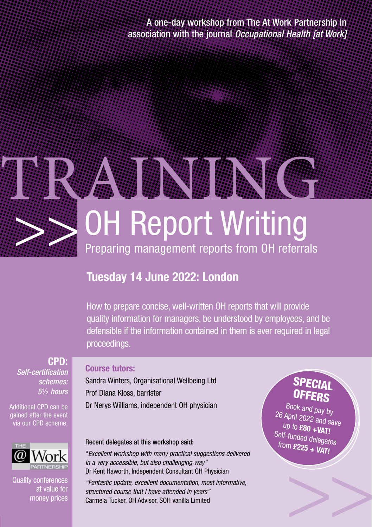A one-day workshop from The At Work Partnership in association with the journal *Occupational Health [at Work]*



# **Tuesday 14 June 2022: London**

How to prepare concise, well-written OH reports that will provide quality information for managers, be understood by employees, and be defensible if the information contained in them is ever required in legal proceedings.

**CPD:**  *Self-certification schemes: 5*½ *hours*

Additional CPD can be gained after the event via our CPD scheme.



Quality conferences at value for money prices

### **Course tutors:**

Sandra Winters, Organisational Wellbeing Ltd Prof Diana Kloss, barrister Dr Nerys Williams, independent OH physician

### Recent delegates at this workshop said:

"*Excellent workshop with many practical suggestions delivered in a very accessible, but also challenging way"* Dr Kent Haworth, Independent Consultant OH Physician

*"Fantastic update, excellent documentation, most informative, structured course that I have attended in years"* Carmela Tucker, OH Advisor, SOH vanilla Limited

# SPECIAL **OFFERS**

Book and pay by 26 April 2022 and save up to **£80 +VAT!** Self-funded delegates from **£225 + VAT!**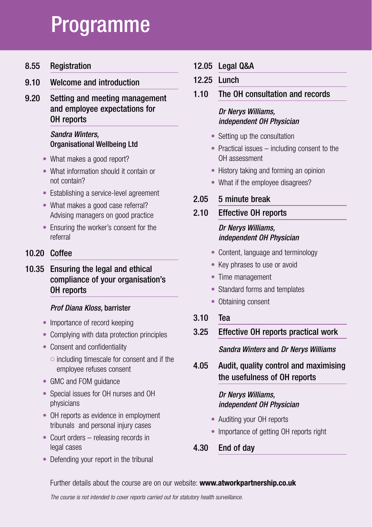# Programme

8.55 Registration

9.10 Welcome and introduction

9.20 Setting and meeting management and employee expectations for OH reports

### *Sandra Winters,* Organisational Wellbeing Ltd

- What makes a good report?
- What information should it contain or not contain?
- Establishing a service-level agreement
- What makes a good case referral? Advising managers on good practice
- Ensuring the worker's consent for the referral

### 10.20 Coffee

10.35 Ensuring the legal and ethical compliance of your organisation's OH reports

### *Prof Diana Kloss,* barrister

- Importance of record keeping
- Complying with data protection principles
- Consent and confidentiality
	- $\circ$  including timescale for consent and if the employee refuses consent
- GMC and FOM guidance
- Special issues for OH nurses and OH physicians
- OH reports as evidence in employment tribunals and personal injury cases
- Court orders releasing records in legal cases
- Defending your report in the tribunal
- 12.05 Legal Q&A
- 12.25 Lunch
- 1.10 The OH consultation and records

### *Dr Nerys Williams, independent OH Physician*

- Setting up the consultation
- Practical issues including consent to the OH assessment
- History taking and forming an opinion
- What if the employee disagrees?

### 2.05 5 minute break

### 2.10 Effective OH reports

### *Dr Nerys Williams, independent OH Physician*

- Content, language and terminology
- Key phrases to use or avoid
- Time management
- Standard forms and templates
- Obtaining consent
- 3.10 Tea
- 3.25 Effective OH reports practical work

 *Sandra Winters* and *Dr Nerys Williams*

4.05 Audit, quality control and maximising the usefulness of OH reports

### *Dr Nerys Williams, independent OH Physician*

- Auditing your OH reports
- Importance of getting OH reports right
- 4.30 End of day

### Further details about the course are on our website: **www.atworkpartnership.co.uk**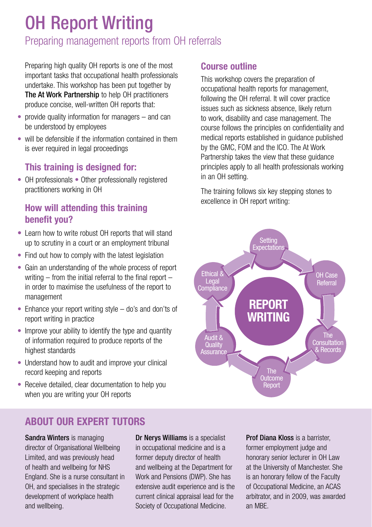# OH Report Writing

# Preparing management reports from OH referrals

Preparing high quality OH reports is one of the most important tasks that occupational health professionals undertake. This workshop has been put together by The At Work Partnership to help OH practitioners produce concise, well-written OH reports that:

- provide quality information for managers and can be understood by employees
- will be defensible if the information contained in them is ever required in legal proceedings

### **This training is designed for:**

• OH professionals • Other professionally registered practitioners working in OH

## **How will attending this training benefit you?**

- Learn how to write robust OH reports that will stand up to scrutiny in a court or an employment tribunal
- Find out how to comply with the latest legislation
- Gain an understanding of the whole process of report writing – from the initial referral to the final report – in order to maximise the usefulness of the report to management
- Enhance your report writing style do's and don'ts of report writing in practice
- Improve your ability to identify the type and quantity of information required to produce reports of the highest standards
- Understand how to audit and improve your clinical record keeping and reports
- Receive detailed, clear documentation to help you when you are writing your OH reports

### **Course outline**

This workshop covers the preparation of occupational health reports for management, following the OH referral. It will cover practice issues such as sickness absence, likely return to work, disability and case management. The course follows the principles on confidentiality and medical reports established in guidance published by the GMC, FOM and the ICO. The At Work Partnership takes the view that these guidance principles apply to all health professionals working in an OH setting.

The training follows six key stepping stones to excellence in OH report writing:



# **ABOUT OUR EXPERT TUTORS**

Sandra Winters is managing director of Organisational Wellbeing Limited, and was previously head of health and wellbeing for NHS England. She is a nurse consultant in OH, and specialises in the strategic development of workplace health and wellbeing.

Dr Nerys Williams is a specialist in occupational medicine and is a former deputy director of health and wellbeing at the Department for Work and Pensions (DWP). She has extensive audit experience and is the current clinical appraisal lead for the Society of Occupational Medicine.

Prof Diana Kloss is a barrister. former employment judge and honorary senior lecturer in OH Law at the University of Manchester. She is an honorary fellow of the Faculty of Occupational Medicine, an ACAS arbitrator, and in 2009, was awarded an MBE.